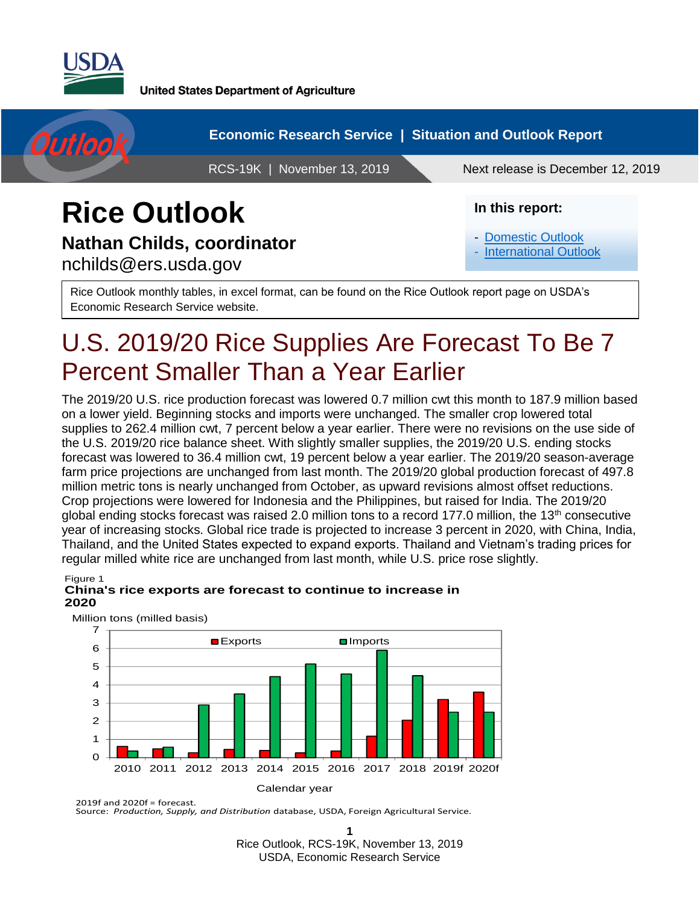



## **Rice Outlook Nathan Childs, coordinator**

nchilds@ers.usda.gov

#### **In this report:**

- [Domestic Outlook](#page-1-0)
- [International Outlook](#page-1-1)

Rice Outlook monthly tables, in excel format, can be found on the Rice Outlook report page on USDA's Economic Research Service website.

# U.S. 2019/20 Rice Supplies Are Forecast To Be 7 Percent Smaller Than a Year Earlier

The 2019/20 U.S. rice production forecast was lowered 0.7 million cwt this month to 187.9 million based on a lower yield. Beginning stocks and imports were unchanged. The smaller crop lowered total supplies to 262.4 million cwt, 7 percent below a year earlier. There were no revisions on the use side of the U.S. 2019/20 rice balance sheet. With slightly smaller supplies, the 2019/20 U.S. ending stocks forecast was lowered to 36.4 million cwt, 19 percent below a year earlier. The 2019/20 season-average farm price projections are unchanged from last month. The 2019/20 global production forecast of 497.8 million metric tons is nearly unchanged from October, as upward revisions almost offset reductions. Crop projections were lowered for Indonesia and the Philippines, but raised for India. The 2019/20 global ending stocks forecast was raised 2.0 million tons to a record 177.0 million, the 13<sup>th</sup> consecutive year of increasing stocks. Global rice trade is projected to increase 3 percent in 2020, with China, India, Thailand, and the United States expected to expand exports. Thailand and Vietnam's trading prices for regular milled white rice are unchanged from last month, while U.S. price rose slightly.

#### Figure 1 **China's rice exports are forecast to continue to increase in 2020**



Million tons (milled basis)

2019f and 2020f = forecast. Source: *Production, Supply, and Distribution* database, USDA, Foreign Agricultural Service.

**1** Rice Outlook, RCS-19K, November 13, 2019 USDA, Economic Research Service Approved by the World Agricultural Outlook Board.

Calendar year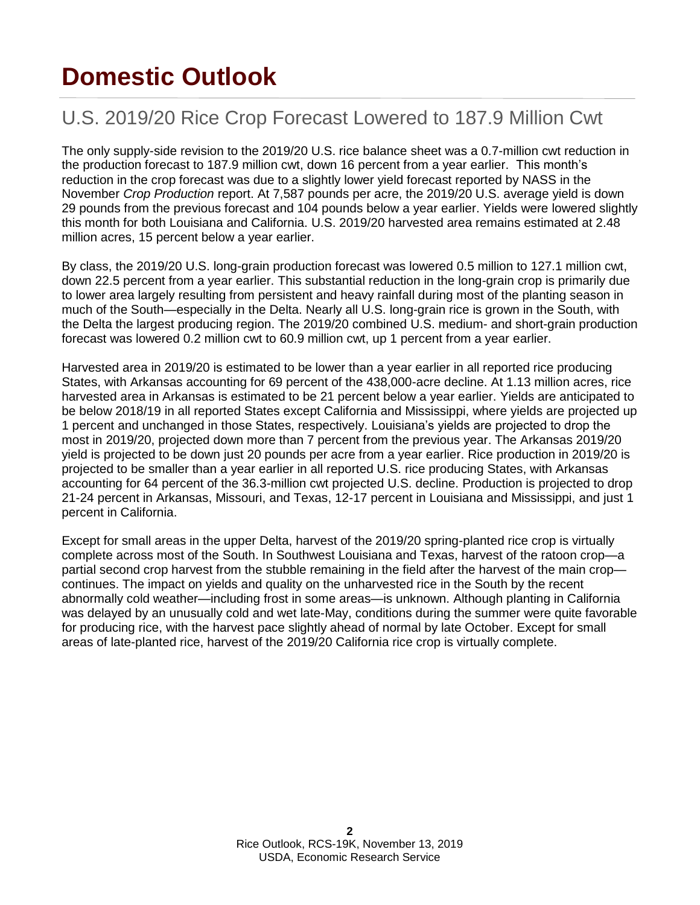# <span id="page-1-0"></span>**Domestic Outlook**

## <span id="page-1-1"></span>U.S. 2019/20 Rice Crop Forecast Lowered to 187.9 Million Cwt

The only supply-side revision to the 2019/20 U.S. rice balance sheet was a 0.7-million cwt reduction in the production forecast to 187.9 million cwt, down 16 percent from a year earlier. This month's reduction in the crop forecast was due to a slightly lower yield forecast reported by NASS in the November *Crop Production* report. At 7,587 pounds per acre, the 2019/20 U.S. average yield is down 29 pounds from the previous forecast and 104 pounds below a year earlier. Yields were lowered slightly this month for both Louisiana and California. U.S. 2019/20 harvested area remains estimated at 2.48 million acres, 15 percent below a year earlier.

By class, the 2019/20 U.S. long-grain production forecast was lowered 0.5 million to 127.1 million cwt, down 22.5 percent from a year earlier. This substantial reduction in the long-grain crop is primarily due to lower area largely resulting from persistent and heavy rainfall during most of the planting season in much of the South—especially in the Delta. Nearly all U.S. long-grain rice is grown in the South, with the Delta the largest producing region. The 2019/20 combined U.S. medium- and short-grain production forecast was lowered 0.2 million cwt to 60.9 million cwt, up 1 percent from a year earlier.

Harvested area in 2019/20 is estimated to be lower than a year earlier in all reported rice producing States, with Arkansas accounting for 69 percent of the 438,000-acre decline. At 1.13 million acres, rice harvested area in Arkansas is estimated to be 21 percent below a year earlier. Yields are anticipated to be below 2018/19 in all reported States except California and Mississippi, where yields are projected up 1 percent and unchanged in those States, respectively. Louisiana's yields are projected to drop the most in 2019/20, projected down more than 7 percent from the previous year. The Arkansas 2019/20 yield is projected to be down just 20 pounds per acre from a year earlier. Rice production in 2019/20 is projected to be smaller than a year earlier in all reported U.S. rice producing States, with Arkansas accounting for 64 percent of the 36.3-million cwt projected U.S. decline. Production is projected to drop 21-24 percent in Arkansas, Missouri, and Texas, 12-17 percent in Louisiana and Mississippi, and just 1 percent in California.

Except for small areas in the upper Delta, harvest of the 2019/20 spring-planted rice crop is virtually complete across most of the South. In Southwest Louisiana and Texas, harvest of the ratoon crop—a partial second crop harvest from the stubble remaining in the field after the harvest of the main crop continues. The impact on yields and quality on the unharvested rice in the South by the recent abnormally cold weather—including frost in some areas—is unknown. Although planting in California was delayed by an unusually cold and wet late-May, conditions during the summer were quite favorable for producing rice, with the harvest pace slightly ahead of normal by late October. Except for small areas of late-planted rice, harvest of the 2019/20 California rice crop is virtually complete.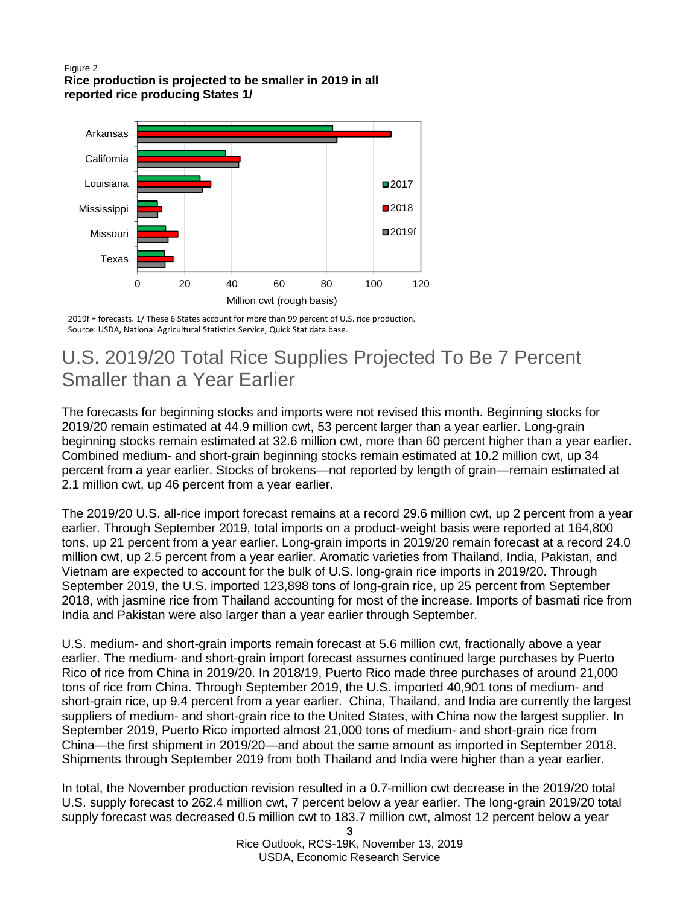#### Figure 2 **Rice production is projected to be smaller in 2019 in all reported rice producing States 1/**



2019f = forecasts. 1/ These 6 States account for more than 99 percent of U.S. rice production. Source: USDA, National Agricultural Statistics Service, Quick Stat data base.

## U.S. 2019/20 Total Rice Supplies Projected To Be 7 Percent Smaller than a Year Earlier

The forecasts for beginning stocks and imports were not revised this month. Beginning stocks for 2019/20 remain estimated at 44.9 million cwt, 53 percent larger than a year earlier. Long-grain beginning stocks remain estimated at 32.6 million cwt, more than 60 percent higher than a year earlier. Combined medium- and short-grain beginning stocks remain estimated at 10.2 million cwt, up 34 percent from a year earlier. Stocks of brokens—not reported by length of grain—remain estimated at 2.1 million cwt, up 46 percent from a year earlier.

The 2019/20 U.S. all-rice import forecast remains at a record 29.6 million cwt, up 2 percent from a year earlier. Through September 2019, total imports on a product-weight basis were reported at 164,800 tons, up 21 percent from a year earlier. Long-grain imports in 2019/20 remain forecast at a record 24.0 million cwt, up 2.5 percent from a year earlier. Aromatic varieties from Thailand, India, Pakistan, and Vietnam are expected to account for the bulk of U.S. long-grain rice imports in 2019/20. Through September 2019, the U.S. imported 123,898 tons of long-grain rice, up 25 percent from September 2018, with jasmine rice from Thailand accounting for most of the increase. Imports of basmati rice from India and Pakistan were also larger than a year earlier through September.

U.S. medium- and short-grain imports remain forecast at 5.6 million cwt, fractionally above a year earlier. The medium- and short-grain import forecast assumes continued large purchases by Puerto Rico of rice from China in 2019/20. In 2018/19, Puerto Rico made three purchases of around 21,000 tons of rice from China. Through September 2019, the U.S. imported 40,901 tons of medium- and short-grain rice, up 9.4 percent from a year earlier. China, Thailand, and India are currently the largest suppliers of medium- and short-grain rice to the United States, with China now the largest supplier. In September 2019, Puerto Rico imported almost 21,000 tons of medium- and short-grain rice from China—the first shipment in 2019/20—and about the same amount as imported in September 2018. Shipments through September 2019 from both Thailand and India were higher than a year earlier.

In total, the November production revision resulted in a 0.7-million cwt decrease in the 2019/20 total U.S. supply forecast to 262.4 million cwt, 7 percent below a year earlier. The long-grain 2019/20 total supply forecast was decreased 0.5 million cwt to 183.7 million cwt, almost 12 percent below a year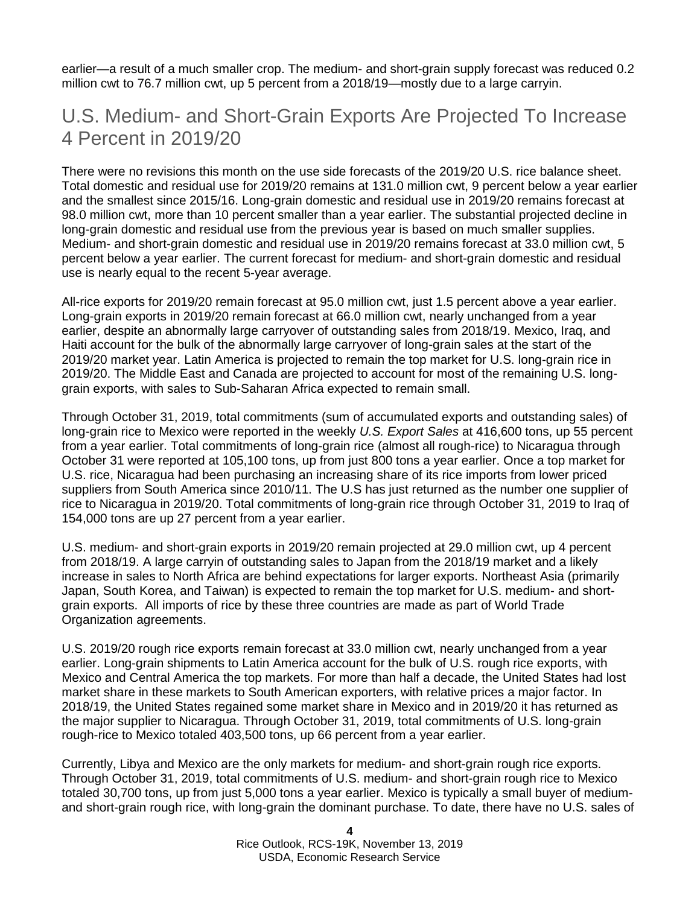earlier—a result of a much smaller crop. The medium- and short-grain supply forecast was reduced 0.2 million cwt to 76.7 million cwt, up 5 percent from a 2018/19—mostly due to a large carryin.

#### U.S. Medium- and Short-Grain Exports Are Projected To Increase 4 Percent in 2019/20

There were no revisions this month on the use side forecasts of the 2019/20 U.S. rice balance sheet. Total domestic and residual use for 2019/20 remains at 131.0 million cwt, 9 percent below a year earlier and the smallest since 2015/16. Long-grain domestic and residual use in 2019/20 remains forecast at 98.0 million cwt, more than 10 percent smaller than a year earlier. The substantial projected decline in long-grain domestic and residual use from the previous year is based on much smaller supplies. Medium- and short-grain domestic and residual use in 2019/20 remains forecast at 33.0 million cwt, 5 percent below a year earlier. The current forecast for medium- and short-grain domestic and residual use is nearly equal to the recent 5-year average.

All-rice exports for 2019/20 remain forecast at 95.0 million cwt, just 1.5 percent above a year earlier. Long-grain exports in 2019/20 remain forecast at 66.0 million cwt, nearly unchanged from a year earlier, despite an abnormally large carryover of outstanding sales from 2018/19. Mexico, Iraq, and Haiti account for the bulk of the abnormally large carryover of long-grain sales at the start of the 2019/20 market year. Latin America is projected to remain the top market for U.S. long-grain rice in 2019/20. The Middle East and Canada are projected to account for most of the remaining U.S. longgrain exports, with sales to Sub-Saharan Africa expected to remain small.

Through October 31, 2019, total commitments (sum of accumulated exports and outstanding sales) of long-grain rice to Mexico were reported in the weekly *U.S. Export Sales* at 416,600 tons, up 55 percent from a year earlier. Total commitments of long-grain rice (almost all rough-rice) to Nicaragua through October 31 were reported at 105,100 tons, up from just 800 tons a year earlier. Once a top market for U.S. rice, Nicaragua had been purchasing an increasing share of its rice imports from lower priced suppliers from South America since 2010/11. The U.S has just returned as the number one supplier of rice to Nicaragua in 2019/20. Total commitments of long-grain rice through October 31, 2019 to Iraq of 154,000 tons are up 27 percent from a year earlier.

U.S. medium- and short-grain exports in 2019/20 remain projected at 29.0 million cwt, up 4 percent from 2018/19. A large carryin of outstanding sales to Japan from the 2018/19 market and a likely increase in sales to North Africa are behind expectations for larger exports. Northeast Asia (primarily Japan, South Korea, and Taiwan) is expected to remain the top market for U.S. medium- and shortgrain exports. All imports of rice by these three countries are made as part of World Trade Organization agreements.

U.S. 2019/20 rough rice exports remain forecast at 33.0 million cwt, nearly unchanged from a year earlier. Long-grain shipments to Latin America account for the bulk of U.S. rough rice exports, with Mexico and Central America the top markets. For more than half a decade, the United States had lost market share in these markets to South American exporters, with relative prices a major factor. In 2018/19, the United States regained some market share in Mexico and in 2019/20 it has returned as the major supplier to Nicaragua. Through October 31, 2019, total commitments of U.S. long-grain rough-rice to Mexico totaled 403,500 tons, up 66 percent from a year earlier.

Currently, Libya and Mexico are the only markets for medium- and short-grain rough rice exports. Through October 31, 2019, total commitments of U.S. medium- and short-grain rough rice to Mexico totaled 30,700 tons, up from just 5,000 tons a year earlier. Mexico is typically a small buyer of mediumand short-grain rough rice, with long-grain the dominant purchase. To date, there have no U.S. sales of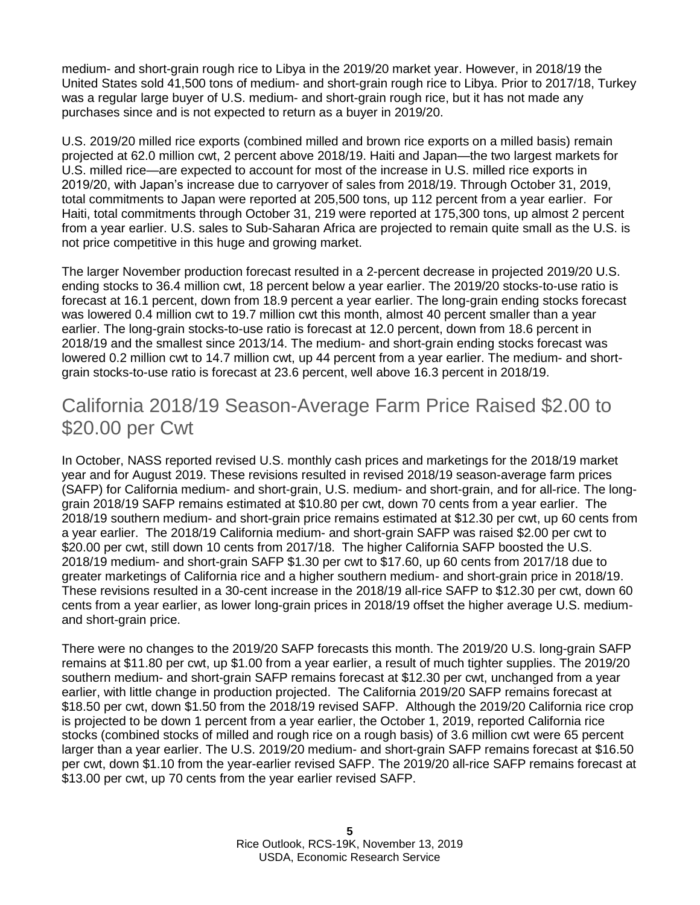medium- and short-grain rough rice to Libya in the 2019/20 market year. However, in 2018/19 the United States sold 41,500 tons of medium- and short-grain rough rice to Libya. Prior to 2017/18, Turkey was a regular large buyer of U.S. medium- and short-grain rough rice, but it has not made any purchases since and is not expected to return as a buyer in 2019/20.

U.S. 2019/20 milled rice exports (combined milled and brown rice exports on a milled basis) remain projected at 62.0 million cwt, 2 percent above 2018/19. Haiti and Japan—the two largest markets for U.S. milled rice—are expected to account for most of the increase in U.S. milled rice exports in 2019/20, with Japan's increase due to carryover of sales from 2018/19. Through October 31, 2019, total commitments to Japan were reported at 205,500 tons, up 112 percent from a year earlier. For Haiti, total commitments through October 31, 219 were reported at 175,300 tons, up almost 2 percent from a year earlier. U.S. sales to Sub-Saharan Africa are projected to remain quite small as the U.S. is not price competitive in this huge and growing market.

The larger November production forecast resulted in a 2-percent decrease in projected 2019/20 U.S. ending stocks to 36.4 million cwt, 18 percent below a year earlier. The 2019/20 stocks-to-use ratio is forecast at 16.1 percent, down from 18.9 percent a year earlier. The long-grain ending stocks forecast was lowered 0.4 million cwt to 19.7 million cwt this month, almost 40 percent smaller than a year earlier. The long-grain stocks-to-use ratio is forecast at 12.0 percent, down from 18.6 percent in 2018/19 and the smallest since 2013/14. The medium- and short-grain ending stocks forecast was lowered 0.2 million cwt to 14.7 million cwt, up 44 percent from a year earlier. The medium- and shortgrain stocks-to-use ratio is forecast at 23.6 percent, well above 16.3 percent in 2018/19.

## California 2018/19 Season-Average Farm Price Raised \$2.00 to \$20.00 per Cwt

In October, NASS reported revised U.S. monthly cash prices and marketings for the 2018/19 market year and for August 2019. These revisions resulted in revised 2018/19 season-average farm prices (SAFP) for California medium- and short-grain, U.S. medium- and short-grain, and for all-rice. The longgrain 2018/19 SAFP remains estimated at \$10.80 per cwt, down 70 cents from a year earlier. The 2018/19 southern medium- and short-grain price remains estimated at \$12.30 per cwt, up 60 cents from a year earlier. The 2018/19 California medium- and short-grain SAFP was raised \$2.00 per cwt to \$20.00 per cwt, still down 10 cents from 2017/18. The higher California SAFP boosted the U.S. 2018/19 medium- and short-grain SAFP \$1.30 per cwt to \$17.60, up 60 cents from 2017/18 due to greater marketings of California rice and a higher southern medium- and short-grain price in 2018/19. These revisions resulted in a 30-cent increase in the 2018/19 all-rice SAFP to \$12.30 per cwt, down 60 cents from a year earlier, as lower long-grain prices in 2018/19 offset the higher average U.S. mediumand short-grain price.

There were no changes to the 2019/20 SAFP forecasts this month. The 2019/20 U.S. long-grain SAFP remains at \$11.80 per cwt, up \$1.00 from a year earlier, a result of much tighter supplies. The 2019/20 southern medium- and short-grain SAFP remains forecast at \$12.30 per cwt, unchanged from a year earlier, with little change in production projected. The California 2019/20 SAFP remains forecast at \$18.50 per cwt, down \$1.50 from the 2018/19 revised SAFP. Although the 2019/20 California rice crop is projected to be down 1 percent from a year earlier, the October 1, 2019, reported California rice stocks (combined stocks of milled and rough rice on a rough basis) of 3.6 million cwt were 65 percent larger than a year earlier. The U.S. 2019/20 medium- and short-grain SAFP remains forecast at \$16.50 per cwt, down \$1.10 from the year-earlier revised SAFP. The 2019/20 all-rice SAFP remains forecast at \$13.00 per cwt, up 70 cents from the year earlier revised SAFP.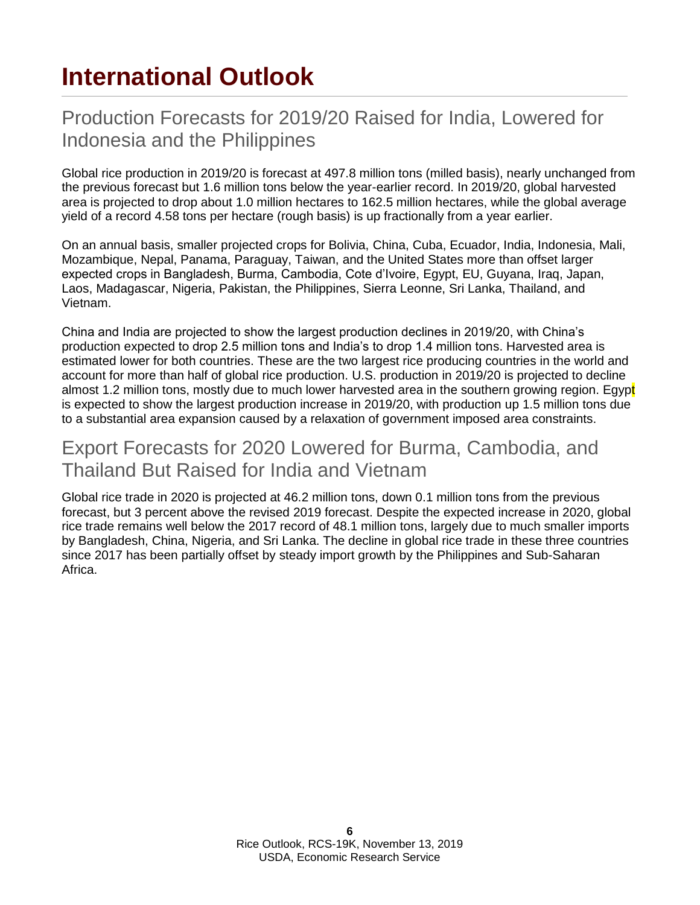# **International Outlook**

#### Production Forecasts for 2019/20 Raised for India, Lowered for Indonesia and the Philippines

Global rice production in 2019/20 is forecast at 497.8 million tons (milled basis), nearly unchanged from the previous forecast but 1.6 million tons below the year-earlier record. In 2019/20, global harvested area is projected to drop about 1.0 million hectares to 162.5 million hectares, while the global average yield of a record 4.58 tons per hectare (rough basis) is up fractionally from a year earlier.

On an annual basis, smaller projected crops for Bolivia, China, Cuba, Ecuador, India, Indonesia, Mali, Mozambique, Nepal, Panama, Paraguay, Taiwan, and the United States more than offset larger expected crops in Bangladesh, Burma, Cambodia, Cote d'Ivoire, Egypt, EU, Guyana, Iraq, Japan, Laos, Madagascar, Nigeria, Pakistan, the Philippines, Sierra Leonne, Sri Lanka, Thailand, and Vietnam.

China and India are projected to show the largest production declines in 2019/20, with China's production expected to drop 2.5 million tons and India's to drop 1.4 million tons. Harvested area is estimated lower for both countries. These are the two largest rice producing countries in the world and account for more than half of global rice production. U.S. production in 2019/20 is projected to decline almost 1.2 million tons, mostly due to much lower harvested area in the southern growing region. Egypt is expected to show the largest production increase in 2019/20, with production up 1.5 million tons due to a substantial area expansion caused by a relaxation of government imposed area constraints.

#### Export Forecasts for 2020 Lowered for Burma, Cambodia, and Thailand But Raised for India and Vietnam

Global rice trade in 2020 is projected at 46.2 million tons, down 0.1 million tons from the previous forecast, but 3 percent above the revised 2019 forecast. Despite the expected increase in 2020, global rice trade remains well below the 2017 record of 48.1 million tons, largely due to much smaller imports by Bangladesh, China, Nigeria, and Sri Lanka. The decline in global rice trade in these three countries since 2017 has been partially offset by steady import growth by the Philippines and Sub-Saharan Africa.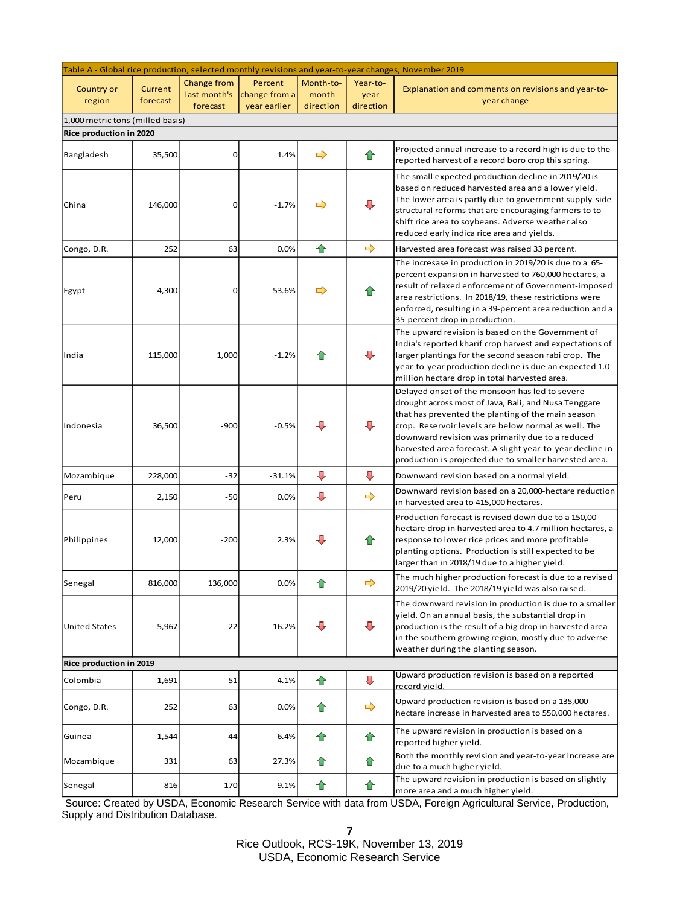|                                  |                     |                                         |                                          |                                 |                               | Table A - Global rice production, selected monthly revisions and year-to-year changes, November 2019                                                                                                                                                                                                                                                                                            |
|----------------------------------|---------------------|-----------------------------------------|------------------------------------------|---------------------------------|-------------------------------|-------------------------------------------------------------------------------------------------------------------------------------------------------------------------------------------------------------------------------------------------------------------------------------------------------------------------------------------------------------------------------------------------|
| <b>Country or</b><br>region      | Current<br>forecast | Change from<br>last month's<br>forecast | Percent<br>change from a<br>year earlier | Month-to-<br>month<br>direction | Year-to-<br>year<br>direction | Explanation and comments on revisions and year-to-<br>year change                                                                                                                                                                                                                                                                                                                               |
| 1,000 metric tons (milled basis) |                     |                                         |                                          |                                 |                               |                                                                                                                                                                                                                                                                                                                                                                                                 |
| Rice production in 2020          |                     |                                         |                                          |                                 |                               |                                                                                                                                                                                                                                                                                                                                                                                                 |
| Bangladesh                       | 35,500              | 0                                       | 1.4%                                     | ➡                               | ✿                             | Projected annual increase to a record high is due to the<br>reported harvest of a record boro crop this spring.                                                                                                                                                                                                                                                                                 |
| China                            | 146,000             | 0                                       | $-1.7%$                                  | ➡                               | ⇩                             | The small expected production decline in 2019/20 is<br>based on reduced harvested area and a lower yield.<br>The lower area is partly due to government supply-side<br>structural reforms that are encouraging farmers to to<br>shift rice area to soybeans. Adverse weather also<br>reduced early indica rice area and yields.                                                                 |
| Congo, D.R.                      | 252                 | 63                                      | 0.0%                                     | 合                               | $\Rightarrow$                 | Harvested area forecast was raised 33 percent.                                                                                                                                                                                                                                                                                                                                                  |
| Egypt                            | 4,300               | 0                                       | 53.6%                                    | $\Rightarrow$                   | ⋒                             | The incresase in production in 2019/20 is due to a 65-<br>percent expansion in harvested to 760,000 hectares, a<br>result of relaxed enforcement of Government-imposed<br>area restrictions. In 2018/19, these restrictions were<br>enforced, resulting in a 39-percent area reduction and a<br>35-percent drop in production.                                                                  |
| India                            | 115,000             | 1,000                                   | $-1.2%$                                  |                                 | ⇩                             | The upward revision is based on the Government of<br>India's reported kharif crop harvest and expectations of<br>larger plantings for the second season rabi crop. The<br>year-to-year production decline is due an expected 1.0-<br>million hectare drop in total harvested area.                                                                                                              |
| Indonesia                        | 36,500              | $-900$                                  | $-0.5%$                                  | Л,                              | ⇩                             | Delayed onset of the monsoon has led to severe<br>drought across most of Java, Bali, and Nusa Tenggare<br>that has prevented the planting of the main season<br>crop. Reservoir levels are below normal as well. The<br>downward revision was primarily due to a reduced<br>harvested area forecast. A slight year-to-year decline in<br>production is projected due to smaller harvested area. |
| Mozambique                       | 228,000             | $-32$                                   | $-31.1%$                                 | $\overline{\phantom{a}}$        | ⊕                             | Downward revision based on a normal yield.                                                                                                                                                                                                                                                                                                                                                      |
| Peru                             | 2,150               | $-50$                                   | 0.0%                                     | ⊕                               | $\Rightarrow$                 | Downward revision based on a 20,000-hectare reduction<br>in harvested area to 415,000 hectares.                                                                                                                                                                                                                                                                                                 |
| Philippines                      | 12,000              | $-200$                                  | 2.3%                                     | д                               | ⇑                             | Production forecast is revised down due to a 150,00-<br>hectare drop in harvested area to 4.7 million hectares, a<br>response to lower rice prices and more profitable<br>planting options. Production is still expected to be<br>larger than in 2018/19 due to a higher yield.                                                                                                                 |
| Senegal                          | 816,000             | 136,000                                 | 0.0%                                     |                                 | $\Rightarrow$                 | The much higher production forecast is due to a revised<br>2019/20 yield. The 2018/19 yield was also raised.                                                                                                                                                                                                                                                                                    |
| <b>United States</b>             | 5,967               | $-22$                                   | $-16.2%$                                 | ⊕                               | ⊕                             | The downward revision in production is due to a smaller<br>yield. On an annual basis, the substantial drop in<br>production is the result of a big drop in harvested area<br>in the southern growing region, mostly due to adverse<br>weather during the planting season.                                                                                                                       |
| Rice production in 2019          |                     |                                         |                                          |                                 |                               |                                                                                                                                                                                                                                                                                                                                                                                                 |
| Colombia                         | 1,691               | 51                                      | $-4.1%$                                  | ✿                               | $\color{red} \bigoplus$       | Upward production revision is based on a reported<br>record vield.                                                                                                                                                                                                                                                                                                                              |
| Congo, D.R.                      | 252                 | 63                                      | 0.0%                                     | Ħ                               | $\Rightarrow$                 | Upward production revision is based on a 135,000-<br>hectare increase in harvested area to 550,000 hectares.                                                                                                                                                                                                                                                                                    |
| Guinea                           | 1,544               | 44                                      | 6.4%                                     | ✿                               | ✿                             | The upward revision in production is based on a<br>reported higher yield.                                                                                                                                                                                                                                                                                                                       |
| Mozambique                       | 331                 | 63                                      | 27.3%                                    | ⇑                               | ⇑                             | Both the monthly revision and year-to-year increase are<br>due to a much higher yield.                                                                                                                                                                                                                                                                                                          |
| Senegal                          | 816                 | 170                                     | 9.1%                                     | ✿                               | ✿                             | The upward revision in production is based on slightly<br>more area and a much higher yield.                                                                                                                                                                                                                                                                                                    |

Source: Created by USDA, Economic Research Service with data from USDA, Foreign Agricultural Service, Production, Supply and Distribution Database.

**7**

Rice Outlook, RCS-19K, November 13, 2019 USDA, Economic Research Service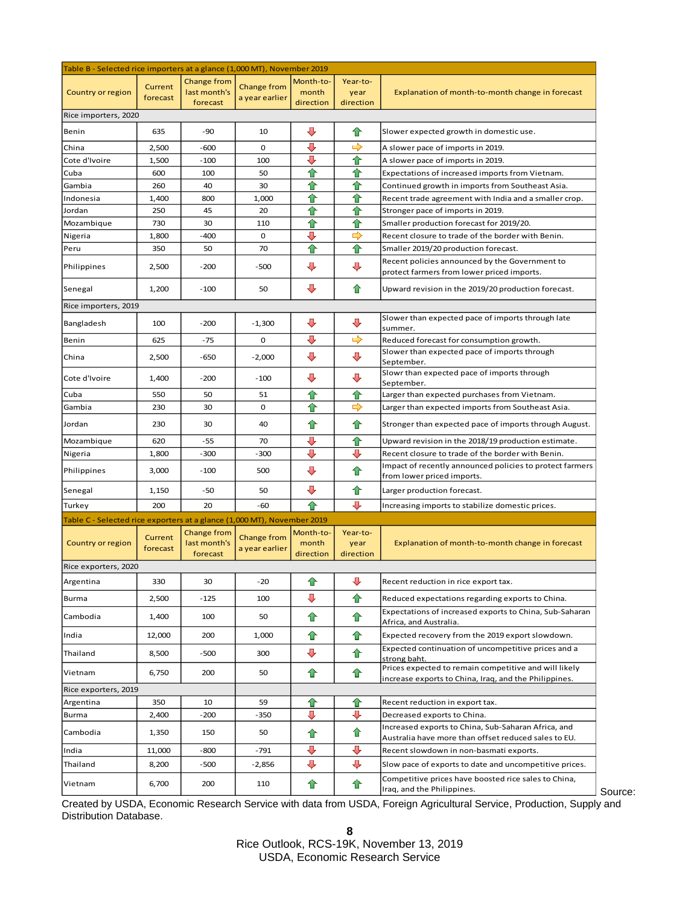| Table B - Selected rice importers at a glance (1,000 MT), November 2019 |                     |                                         |                                      |                                 |                               |                                                                                                                |
|-------------------------------------------------------------------------|---------------------|-----------------------------------------|--------------------------------------|---------------------------------|-------------------------------|----------------------------------------------------------------------------------------------------------------|
| Country or region                                                       | Current<br>forecast | Change from<br>last month's<br>forecast | <b>Change from</b><br>a year earlier | Month-to-<br>month<br>direction | Year-to-<br>year<br>direction | Explanation of month-to-month change in forecast                                                               |
| Rice importers, 2020                                                    |                     |                                         |                                      |                                 |                               |                                                                                                                |
| Benin                                                                   | 635                 | $-90$                                   | 10                                   | $\ddot{\phantom{1}}$            | ⇑                             | Slower expected growth in domestic use.                                                                        |
| China                                                                   | 2,500               | $-600$                                  | 0                                    | ⇩                               | ➡                             | A slower pace of imports in 2019.                                                                              |
| Cote d'Ivoire                                                           | 1,500               | $-100$                                  | 100                                  | ⊕                               | ✿                             | A slower pace of imports in 2019.                                                                              |
| Cuba                                                                    | 600                 | 100                                     | 50                                   | ✿                               | ✿                             | Expectations of increased imports from Vietnam.                                                                |
| Gambia                                                                  | 260                 | 40                                      | 30                                   | €                               | ✿                             | Continued growth in imports from Southeast Asia.                                                               |
| Indonesia                                                               | 1,400               | 800                                     | 1,000                                | €                               | ✿                             | Recent trade agreement with India and a smaller crop.                                                          |
| Jordan                                                                  | 250                 | 45                                      | 20                                   | ✿                               | ✿                             | Stronger pace of imports in 2019.                                                                              |
| Mozambique                                                              | 730                 | 30                                      | 110                                  | €                               | ✿                             | Smaller production forecast for 2019/20.                                                                       |
| Nigeria                                                                 | 1,800               | $-400$                                  | 0                                    | ⊕                               | $\Rightarrow$                 | Recent closure to trade of the border with Benin.                                                              |
| Peru                                                                    | 350                 | 50                                      | 70                                   | ✿                               | ✿                             | Smaller 2019/20 production forecast.                                                                           |
| Philippines                                                             | 2,500               | $-200$                                  | $-500$                               | $\overline{\mathbf{u}}$         | ⊕                             | Recent policies announced by the Government to<br>protect farmers from lower priced imports.                   |
| Senegal                                                                 | 1,200               | $-100$                                  | 50                                   | ⊕                               | ⇑                             | Upward revision in the 2019/20 production forecast.                                                            |
| Rice importers, 2019                                                    |                     |                                         |                                      |                                 |                               |                                                                                                                |
| Bangladesh                                                              | 100                 | $-200$                                  | $-1,300$                             | ⊕                               | ⊕                             | Slower than expected pace of imports through late<br>summer.                                                   |
| Benin                                                                   | 625                 | $-75$                                   | 0                                    | ↓                               | $\Rightarrow$                 | Reduced forecast for consumption growth.                                                                       |
| China                                                                   | 2,500               | $-650$                                  | $-2,000$                             | ⊕                               | ⊕                             | Slower than expected pace of imports through<br>September.                                                     |
| Cote d'Ivoire                                                           | 1,400               | $-200$                                  | $-100$                               | ⊕                               | ⊕                             | Slowr than expected pace of imports through<br>September.                                                      |
| Cuba                                                                    | 550                 | 50                                      | 51                                   | ✿                               | ✿                             | Larger than expected purchases from Vietnam.                                                                   |
| Gambia                                                                  | 230                 | 30                                      | 0                                    | ✿                               | $\Rightarrow$                 | Larger than expected imports from Southeast Asia.                                                              |
| Jordan                                                                  | 230                 | 30                                      | 40                                   | ✿                               | ✿                             | Stronger than expected pace of imports through August.                                                         |
| Mozambique                                                              | 620                 | $-55$                                   | 70                                   | ⊕                               | ⇑                             | Upward revision in the 2018/19 production estimate.                                                            |
| Nigeria                                                                 | 1,800               | $-300$                                  | $-300$                               | ↓                               | ⊕                             | Recent closure to trade of the border with Benin.                                                              |
| Philippines                                                             | 3,000               | $-100$                                  | 500                                  | $\color{red} \clubsuit$         | 合                             | Impact of recently announced policies to protect farmers<br>from lower priced imports.                         |
| Senegal                                                                 | 1,150               | $-50$                                   | 50                                   | $\ddot{\phantom{1}}$            | ✿                             | Larger production forecast.                                                                                    |
| Turkey                                                                  | 200                 | 20                                      | -60                                  | ⇑                               | J                             | Increasing imports to stabilize domestic prices.                                                               |
| Table C - Selected rice exporters at a glance (1,000 MT), November 2019 |                     |                                         |                                      |                                 |                               |                                                                                                                |
| Country or region                                                       | Current<br>forecast | Change from<br>last month's<br>forecast | Change from<br>a year earlier        | Month-to-<br>month<br>direction | Year-to-<br>year<br>direction | Explanation of month-to-month change in forecast                                                               |
| Rice exporters, 2020                                                    |                     |                                         |                                      |                                 |                               |                                                                                                                |
| Argentina                                                               | 330                 | 30                                      | $-20$                                | ⇧                               | ⊕                             | Recent reduction in rice export tax.                                                                           |
| Burma                                                                   | 2,500               | $-125$                                  | 100                                  | ⊕                               | ✿                             | Reduced expectations regarding exports to China.                                                               |
| Cambodia                                                                | 1,400               | 100                                     | 50                                   | ⇧                               | ✿                             | Expectations of increased exports to China, Sub-Saharan<br>Africa, and Australia.                              |
| India                                                                   | 12,000              | 200                                     | 1,000                                | ✿                               | ✿                             | Expected recovery from the 2019 export slowdown.                                                               |
| Thailand                                                                | 8,500               | $-500$                                  | 300                                  | ⊕                               | ✿                             | Expected continuation of uncompetitive prices and a<br>strong baht.                                            |
| Vietnam                                                                 | 6,750               | 200                                     | 50                                   | ✿                               | ✿                             | Prices expected to remain competitive and will likely<br>increase exports to China, Iraq, and the Philippines. |
| Rice exporters, 2019                                                    |                     |                                         |                                      |                                 |                               |                                                                                                                |
| Argentina                                                               | 350                 | 10                                      | 59                                   | ⇑                               | ✿                             | Recent reduction in export tax.                                                                                |
| Burma                                                                   | 2,400               | $-200$                                  | $-350$                               | ⊕                               | ⊕                             | Decreased exports to China.                                                                                    |
| Cambodia                                                                | 1,350               | 150                                     | 50                                   | ⇧                               | ✿                             | Increased exports to China, Sub-Saharan Africa, and<br>Australia have more than offset reduced sales to EU.    |
| India                                                                   | 11,000              | $-800$                                  | $-791$                               | $\color{red} \clubsuit$         | $\color{red}$                 | Recent slowdown in non-basmati exports.                                                                        |
| Thailand                                                                | 8,200               | $-500$                                  | $-2,856$                             | ⊕                               | ⊕                             | Slow pace of exports to date and uncompetitive prices.<br>Competitive prices have boosted rice sales to China, |
| Vietnam                                                                 | 6,700               | 200                                     | 110                                  | ⇑                               | ✿                             | Iraq, and the Philippines.                                                                                     |

Created by USDA, Economic Research Service with data from USDA, Foreign Agricultural Service, Production, Supply and Distribution Database.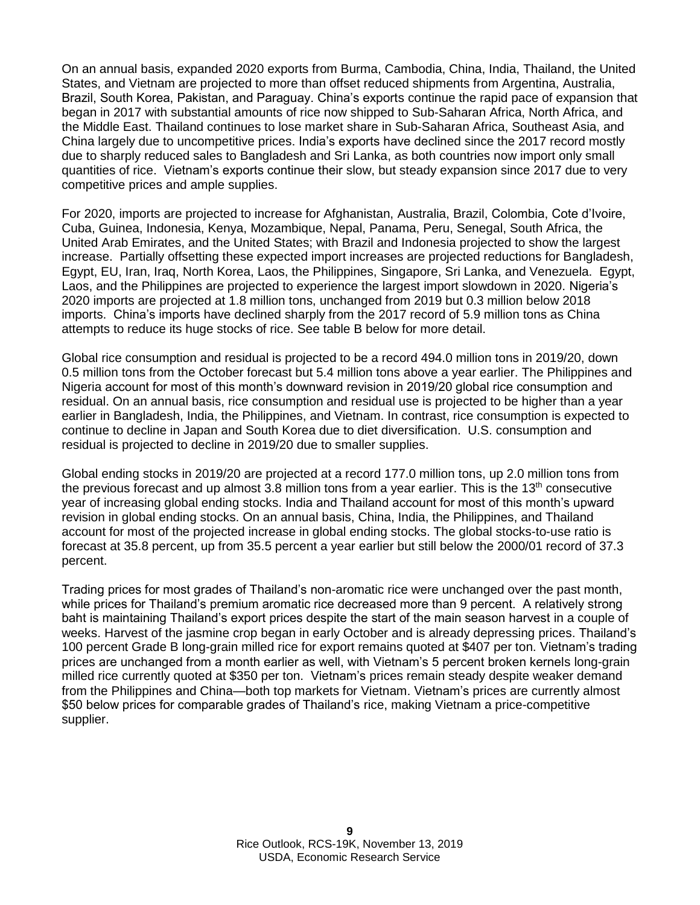On an annual basis, expanded 2020 exports from Burma, Cambodia, China, India, Thailand, the United States, and Vietnam are projected to more than offset reduced shipments from Argentina, Australia, Brazil, South Korea, Pakistan, and Paraguay. China's exports continue the rapid pace of expansion that began in 2017 with substantial amounts of rice now shipped to Sub-Saharan Africa, North Africa, and the Middle East. Thailand continues to lose market share in Sub-Saharan Africa, Southeast Asia, and China largely due to uncompetitive prices. India's exports have declined since the 2017 record mostly due to sharply reduced sales to Bangladesh and Sri Lanka, as both countries now import only small quantities of rice. Vietnam's exports continue their slow, but steady expansion since 2017 due to very competitive prices and ample supplies.

For 2020, imports are projected to increase for Afghanistan, Australia, Brazil, Colombia, Cote d'Ivoire, Cuba, Guinea, Indonesia, Kenya, Mozambique, Nepal, Panama, Peru, Senegal, South Africa, the United Arab Emirates, and the United States; with Brazil and Indonesia projected to show the largest increase. Partially offsetting these expected import increases are projected reductions for Bangladesh, Egypt, EU, Iran, Iraq, North Korea, Laos, the Philippines, Singapore, Sri Lanka, and Venezuela. Egypt, Laos, and the Philippines are projected to experience the largest import slowdown in 2020. Nigeria's 2020 imports are projected at 1.8 million tons, unchanged from 2019 but 0.3 million below 2018 imports. China's imports have declined sharply from the 2017 record of 5.9 million tons as China attempts to reduce its huge stocks of rice. See table B below for more detail.

Global rice consumption and residual is projected to be a record 494.0 million tons in 2019/20, down 0.5 million tons from the October forecast but 5.4 million tons above a year earlier. The Philippines and Nigeria account for most of this month's downward revision in 2019/20 global rice consumption and residual. On an annual basis, rice consumption and residual use is projected to be higher than a year earlier in Bangladesh, India, the Philippines, and Vietnam. In contrast, rice consumption is expected to continue to decline in Japan and South Korea due to diet diversification. U.S. consumption and residual is projected to decline in 2019/20 due to smaller supplies.

Global ending stocks in 2019/20 are projected at a record 177.0 million tons, up 2.0 million tons from the previous forecast and up almost  $3.8$  million tons from a year earlier. This is the  $13<sup>th</sup>$  consecutive year of increasing global ending stocks. India and Thailand account for most of this month's upward revision in global ending stocks. On an annual basis, China, India, the Philippines, and Thailand account for most of the projected increase in global ending stocks. The global stocks-to-use ratio is forecast at 35.8 percent, up from 35.5 percent a year earlier but still below the 2000/01 record of 37.3 percent.

Trading prices for most grades of Thailand's non-aromatic rice were unchanged over the past month, while prices for Thailand's premium aromatic rice decreased more than 9 percent. A relatively strong baht is maintaining Thailand's export prices despite the start of the main season harvest in a couple of weeks. Harvest of the jasmine crop began in early October and is already depressing prices. Thailand's 100 percent Grade B long-grain milled rice for export remains quoted at \$407 per ton. Vietnam's trading prices are unchanged from a month earlier as well, with Vietnam's 5 percent broken kernels long-grain milled rice currently quoted at \$350 per ton. Vietnam's prices remain steady despite weaker demand from the Philippines and China—both top markets for Vietnam. Vietnam's prices are currently almost \$50 below prices for comparable grades of Thailand's rice, making Vietnam a price-competitive supplier.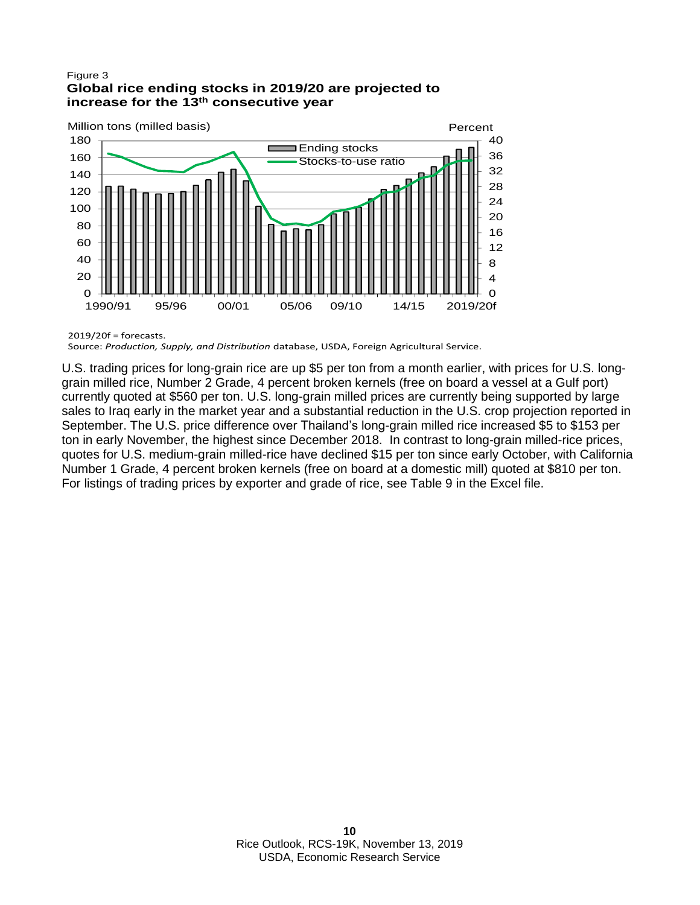#### Figure 3 **Global rice ending stocks in 2019/20 are projected to consecutive year 13th increase for the**



2019/20f = forecasts.

Source: *Production, Supply, and Distribution* database, USDA, Foreign Agricultural Service.

U.S. trading prices for long-grain rice are up \$5 per ton from a month earlier, with prices for U.S. longgrain milled rice, Number 2 Grade, 4 percent broken kernels (free on board a vessel at a Gulf port) currently quoted at \$560 per ton. U.S. long-grain milled prices are currently being supported by large sales to Iraq early in the market year and a substantial reduction in the U.S. crop projection reported in September. The U.S. price difference over Thailand's long-grain milled rice increased \$5 to \$153 per ton in early November, the highest since December 2018. In contrast to long-grain milled-rice prices, quotes for U.S. medium-grain milled-rice have declined \$15 per ton since early October, with California Number 1 Grade, 4 percent broken kernels (free on board at a domestic mill) quoted at \$810 per ton. For listings of trading prices by exporter and grade of rice, see Table 9 in the Excel file.